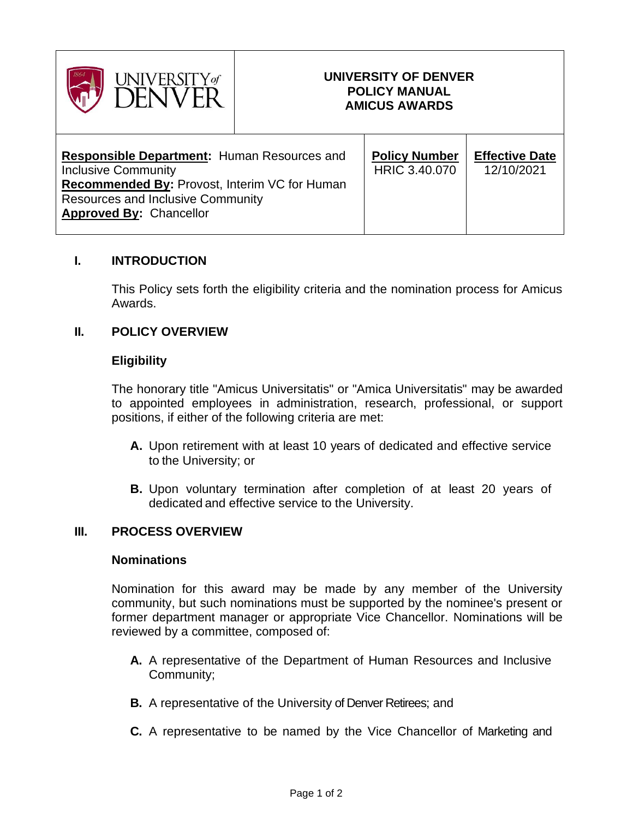

# **UNIVERSITY OF DENVER POLICY MANUAL AMICUS AWARDS**

| <b>Responsible Department: Human Resources and</b><br><b>Inclusive Community</b><br><b>Recommended By: Provost, Interim VC for Human</b><br><b>Resources and Inclusive Community</b><br><b>Approved By: Chancellor</b> | <b>Policy Number</b><br>HRIC 3.40.070 | <b>Effective Date</b><br>12/10/2021 |
|------------------------------------------------------------------------------------------------------------------------------------------------------------------------------------------------------------------------|---------------------------------------|-------------------------------------|
|------------------------------------------------------------------------------------------------------------------------------------------------------------------------------------------------------------------------|---------------------------------------|-------------------------------------|

## **I. INTRODUCTION**

This Policy sets forth the eligibility criteria and the nomination process for Amicus Awards.

### **II. POLICY OVERVIEW**

### **Eligibility**

The honorary title "Amicus Universitatis" or "Amica Universitatis" may be awarded to appointed employees in administration, research, professional, or support positions, if either of the following criteria are met:

- **A.** Upon retirement with at least 10 years of dedicated and effective service to the University; or
- **B.** Upon voluntary termination after completion of at least 20 years of dedicated and effective service to the University.

### **III. PROCESS OVERVIEW**

#### **Nominations**

Nomination for this award may be made by any member of the University community, but such nominations must be supported by the nominee's present or former department manager or appropriate Vice Chancellor. Nominations will be reviewed by a committee, composed of:

- **A.** A representative of the Department of Human Resources and Inclusive Community;
- **B.** A representative of the University of Denver Retirees; and
- **C.** A representative to be named by the Vice Chancellor of Marketing and